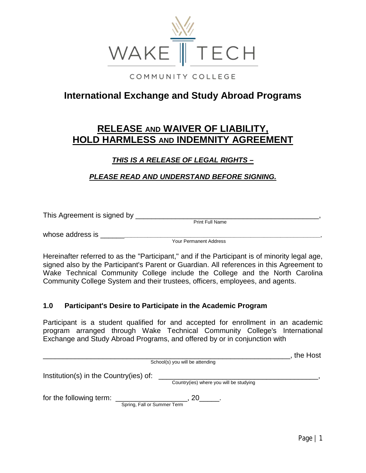

COMMUNITY COLLEGE

# **International Exchange and Study Abroad Programs**

# **RELEASE AND WAIVER OF LIABILITY, HOLD HARMLESS AND INDEMNITY AGREEMENT**

# *THIS IS A RELEASE OF LEGAL RIGHTS –*

# *PLEASE READ AND UNDERSTAND BEFORE SIGNING.*

This Agreement is signed by \_\_\_\_\_\_\_\_\_\_\_\_\_\_\_\_\_\_\_\_\_\_\_\_\_\_\_\_\_\_\_\_\_\_\_\_\_\_\_\_\_\_\_\_\_\_,

Print Full Name

whose address is **whose** and  $\alpha$ 

Your Permanent Address

Hereinafter referred to as the "Participant," and if the Participant is of minority legal age, signed also by the Participant's Parent or Guardian. All references in this Agreement to Wake Technical Community College include the College and the North Carolina Community College System and their trustees, officers, employees, and agents.

## **1.0 Participant's Desire to Participate in the Academic Program**

Participant is a student qualified for and accepted for enrollment in an academic program arranged through Wake Technical Community College's International Exchange and Study Abroad Programs, and offered by or in conjunction with

|                                                        |                                         | the Host |
|--------------------------------------------------------|-----------------------------------------|----------|
|                                                        | School(s) you will be attending         |          |
| Institution(s) in the Country(ies) of:                 |                                         |          |
|                                                        | Country(ies) where you will be studying |          |
| for the following term:<br>Spring, Fall or Summer Term | 20                                      |          |
|                                                        |                                         |          |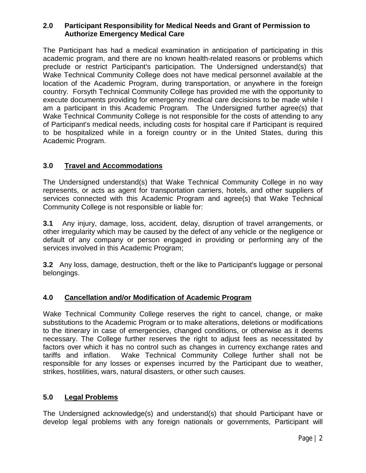#### **2.0 Participant Responsibility for Medical Needs and Grant of Permission to Authorize Emergency Medical Care**

The Participant has had a medical examination in anticipation of participating in this academic program, and there are no known health-related reasons or problems which preclude or restrict Participant's participation. The Undersigned understand(s) that Wake Technical Community College does not have medical personnel available at the location of the Academic Program, during transportation, or anywhere in the foreign country. Forsyth Technical Community College has provided me with the opportunity to execute documents providing for emergency medical care decisions to be made while I am a participant in this Academic Program. The Undersigned further agree(s) that Wake Technical Community College is not responsible for the costs of attending to any of Participant's medical needs, including costs for hospital care if Participant is required to be hospitalized while in a foreign country or in the United States, during this Academic Program.

# **3.0 Travel and Accommodations**

The Undersigned understand(s) that Wake Technical Community College in no way represents, or acts as agent for transportation carriers, hotels, and other suppliers of services connected with this Academic Program and agree(s) that Wake Technical Community College is not responsible or liable for:

**3.1** Any injury, damage, loss, accident, delay, disruption of travel arrangements, or other irregularity which may be caused by the defect of any vehicle or the negligence or default of any company or person engaged in providing or performing any of the services involved in this Academic Program;

**3.2** Any loss, damage, destruction, theft or the like to Participant's luggage or personal belongings.

## **4.0 Cancellation and/or Modification of Academic Program**

Wake Technical Community College reserves the right to cancel, change, or make substitutions to the Academic Program or to make alterations, deletions or modifications to the itinerary in case of emergencies, changed conditions, or otherwise as it deems necessary. The College further reserves the right to adjust fees as necessitated by factors over which it has no control such as changes in currency exchange rates and tariffs and inflation. Wake Technical Community College further shall not be responsible for any losses or expenses incurred by the Participant due to weather, strikes, hostilities, wars, natural disasters, or other such causes.

## **5.0 Legal Problems**

The Undersigned acknowledge(s) and understand(s) that should Participant have or develop legal problems with any foreign nationals or governments, Participant will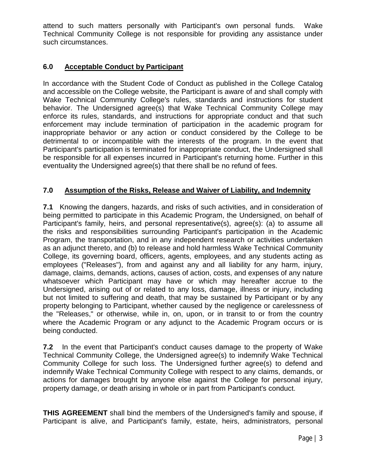attend to such matters personally with Participant's own personal funds. Wake Technical Community College is not responsible for providing any assistance under such circumstances.

## **6.0 Acceptable Conduct by Participant**

In accordance with the Student Code of Conduct as published in the College Catalog and accessible on the College website, the Participant is aware of and shall comply with Wake Technical Community College's rules, standards and instructions for student behavior. The Undersigned agree(s) that Wake Technical Community College may enforce its rules, standards, and instructions for appropriate conduct and that such enforcement may include termination of participation in the academic program for inappropriate behavior or any action or conduct considered by the College to be detrimental to or incompatible with the interests of the program. In the event that Participant's participation is terminated for inappropriate conduct, the Undersigned shall be responsible for all expenses incurred in Participant's returning home. Further in this eventuality the Undersigned agree(s) that there shall be no refund of fees.

## **7.0 Assumption of the Risks, Release and Waiver of Liability, and Indemnity**

**7.1** Knowing the dangers, hazards, and risks of such activities, and in consideration of being permitted to participate in this Academic Program, the Undersigned, on behalf of Participant's family, heirs, and personal representative(s), agree(s): (a) to assume all the risks and responsibilities surrounding Participant's participation in the Academic Program, the transportation, and in any independent research or activities undertaken as an adjunct thereto, and (b) to release and hold harmless Wake Technical Community College, its governing board, officers, agents, employees, and any students acting as employees ("Releases"), from and against any and all liability for any harm, injury, damage, claims, demands, actions, causes of action, costs, and expenses of any nature whatsoever which Participant may have or which may hereafter accrue to the Undersigned, arising out of or related to any loss, damage, illness or injury, including but not limited to suffering and death, that may be sustained by Participant or by any property belonging to Participant, whether caused by the negligence or carelessness of the "Releases," or otherwise, while in, on, upon, or in transit to or from the country where the Academic Program or any adjunct to the Academic Program occurs or is being conducted.

**7.2** In the event that Participant's conduct causes damage to the property of Wake Technical Community College, the Undersigned agree(s) to indemnify Wake Technical Community College for such loss. The Undersigned further agree(s) to defend and indemnify Wake Technical Community College with respect to any claims, demands, or actions for damages brought by anyone else against the College for personal injury, property damage, or death arising in whole or in part from Participant's conduct.

**THIS AGREEMENT** shall bind the members of the Undersigned's family and spouse, if Participant is alive, and Participant's family, estate, heirs, administrators, personal